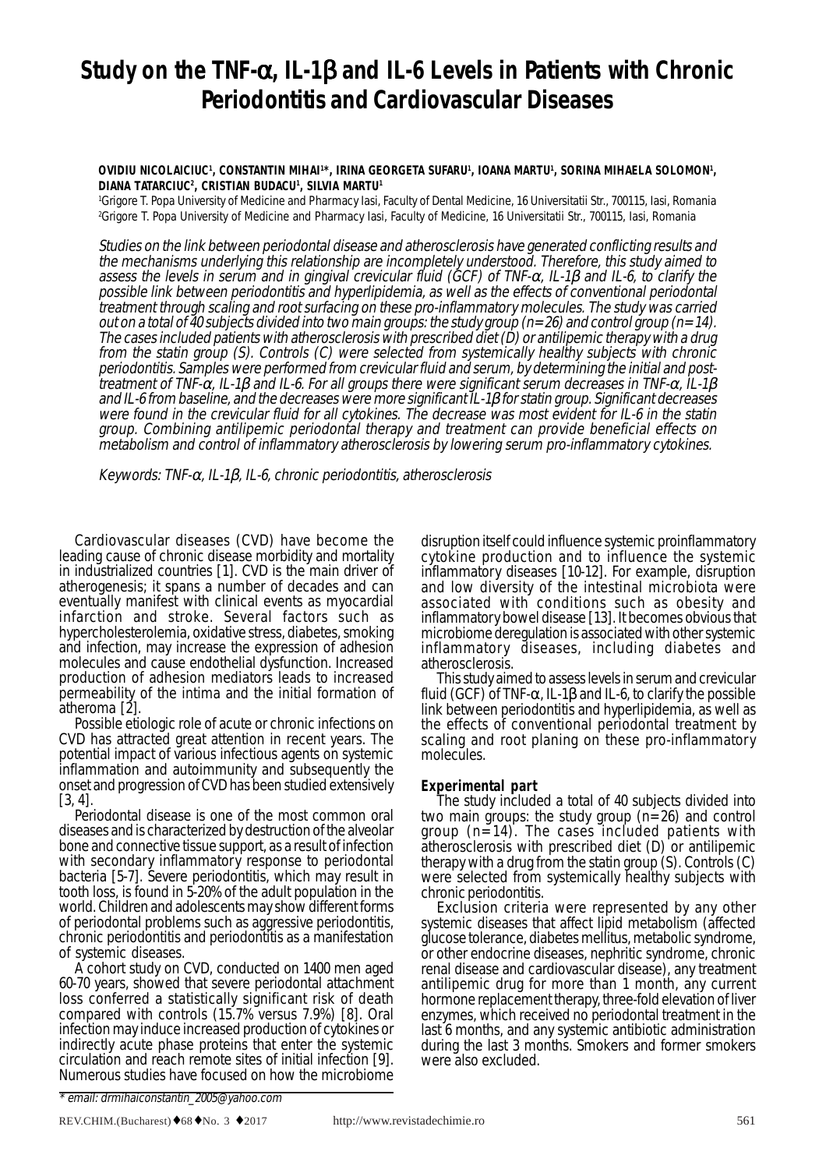# **Study on the TNF-**α**, IL-1**β **and IL-6 Levels in Patients with Chronic Periodontitis and Cardiovascular Diseases**

### OVIDIU NICOLAICIUC<sup>1</sup>, CONSTANTIN MIHAI'\*, IRINA GEORGETA SUFARU<sup>1</sup>, IOANA MARTU', SORINA MIHAELA SOLOMON', **DIANA TATARCIUC2 , CRISTIAN BUDACU1 , SILVIA MARTU1**

1 Grigore T. Popa University of Medicine and Pharmacy Iasi, Faculty of Dental Medicine, 16 Universitatii Str., 700115, Iasi, Romania 2 Grigore T. Popa University of Medicine and Pharmacy Iasi, Faculty of Medicine, 16 Universitatii Str., 700115, Iasi, Romania

Studies on the link between periodontal disease and atherosclerosis have generated conflicting results and the mechanisms underlying this relationship are incompletely understood. Therefore, this study aimed to assess the levels in serum and in gingival crevicular fluid (GCF) of TNF-<sup>α</sup>, IL-1β and IL-6, to clarify the possible link between periodontitis and hyperlipidemia, as well as the effects of conventional periodontal treatment through scaling and root surfacing on these pro-inflammatory molecules. The study was carried out on a total of 40 subjects divided into two main groups: the study group (n=26) and control group (n=14). The cases included patients with atherosclerosis with prescribed diet (D) or antilipemic therapy with a drug from the statin group (S). Controls (C) were selected from systemically healthy subjects with chronic periodontitis. Samples were performed from crevicular fluid and serum, by determining the initial and posttreatment of TNF-α, IL-1β and IL-6. For all groups there were significant serum decreases in TNF-α, IL-1β<br>and IL-6 from baseline, and the decreases were more significant IL-1β for statin group. Significant decreases were found in the crevicular fluid for all cytokines. The decrease was most evident for  $L$ -6 in the statin group. Combining antilipemic periodontal therapy and treatment can provide beneficial effects on metabolism and control of inflammatory atherosclerosis by lowering serum pro-inflammatory cytokines.

Keywords: TNF- $\alpha$ , IL-1 $\beta$ , IL-6, chronic periodontitis, atherosclerosis

Cardiovascular diseases (CVD) have become the leading cause of chronic disease morbidity and mortality in industrialized countries [1]. CVD is the main driver of atherogenesis; it spans a number of decades and can eventually manifest with clinical events as myocardial infarction and stroke. Several factors such as hypercholesterolemia, oxidative stress, diabetes, smoking and infection, may increase the expression of adhesion molecules and cause endothelial dysfunction. Increased production of adhesion mediators leads to increased permeability of the intima and the initial formation of atheroma [2].

Possible etiologic role of acute or chronic infections on CVD has attracted great attention in recent years. The potential impact of various infectious agents on systemic inflammation and autoimmunity and subsequently the onset and progression of CVD has been studied extensively [3, 4].

Periodontal disease is one of the most common oral diseases and is characterized by destruction of the alveolar bone and connective tissue support, as a result of infection with secondary inflammatory response to periodontal bacteria [5-7]. Severe periodontitis, which may result in tooth loss, is found in 5-20% of the adult population in the world. Children and adolescents may show different forms of periodontal problems such as aggressive periodontitis, chronic periodontitis and periodontitis as a manifestation

of systemic diseases.<br>A cohort study on CVD, conducted on 1400 men aged 60-70 years, showed that severe periodontal attachment loss conferred a statistically significant risk of death compared with controls (15.7% versus 7.9%) [8]. Oral infection may induce increased production of cytokines or indirectly acute phase proteins that enter the systemic circulation and reach remote sites of initial infection [9]. Numerous studies have focused on how the microbiome

disruption itself could influence systemic proinflammatory cytokine production and to influence the systemic inflammatory diseases [10-12]. For example, disruption and low diversity of the intestinal microbiota were associated with conditions such as obesity and inflammatory bowel disease [13]. It becomes obvious that microbiome deregulation is associated with other systemic inflammatory diseases, including diabetes and atherosclerosis.

This study aimed to assess levels in serum and crevicular fluid (GCF) of TNF- $\alpha$ , IL-1 $\beta$  and IL-6, to clarify the possible link between periodontitis and hyperlipidemia, as well as the effects of conventional periodontal treatment by scaling and root planing on these pro-inflammatory molecules.

## **Experimental part**

The study included a total of 40 subjects divided into two main groups: the study group (n=26) and control group (n=14). The cases included patients with atherosclerosis with prescribed diet  $(D)$  or antilipemic therapy with a drug from the statin group (S). Controls (C) were selected from systemically healthy subjects with chronic periodontitis.

Exclusion criteria were represented by any other systemic diseases that affect lipid metabolism (affected glucose tolerance, diabetes mellitus, metabolic syndrome, or other endocrine diseases, nephritic syndrome, chronic renal disease and cardiovascular disease), any treatment antilipemic drug for more than 1 month, any current hormone replacement therapy, three-fold elevation of liver enzymes, which received no periodontal treatment in the last 6 months, and any systemic antibiotic administration during the last 3 months. Smokers and former smokers were also excluded.

<sup>\*</sup> email: drmihaiconstantin\_2005@yahoo.com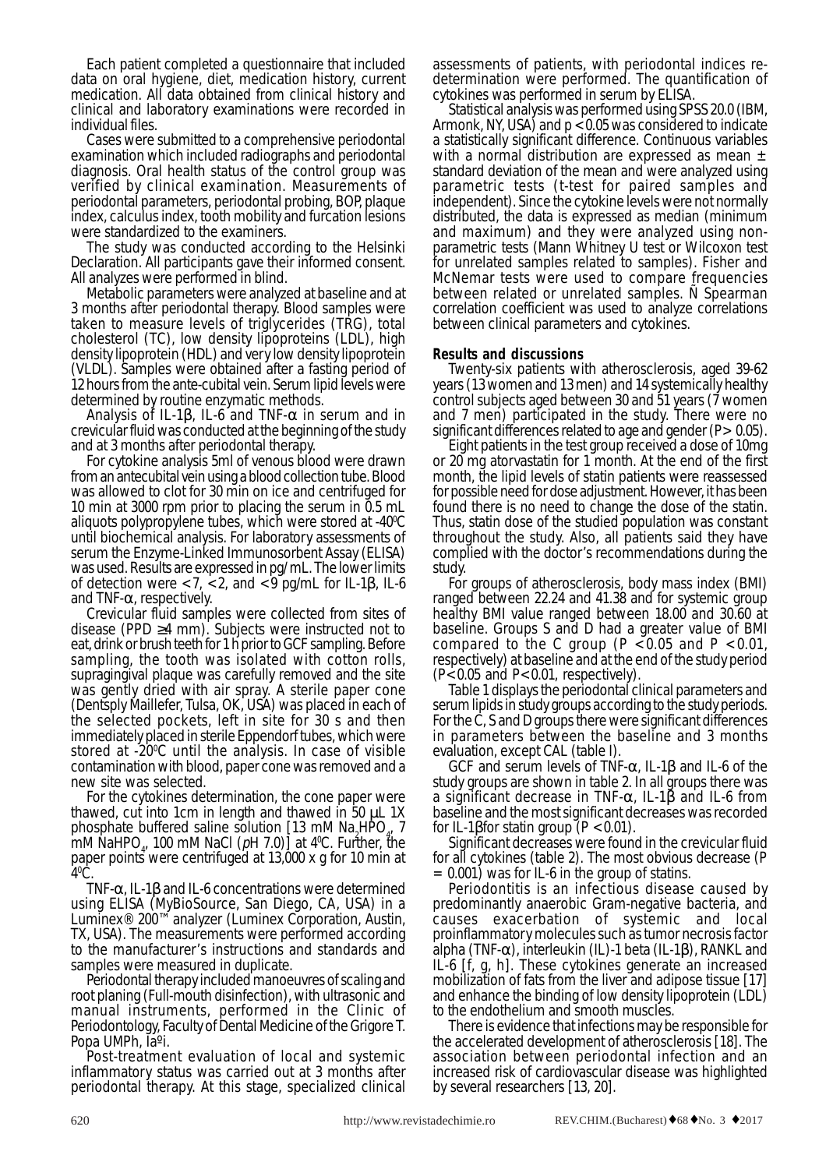Each patient completed a questionnaire that included data on oral hygiene, diet, medication history, current medication. All data obtained from clinical history and clinical and laboratory examinations were recorded in individual files.

Cases were submitted to a comprehensive periodontal examination which included radiographs and periodontal diagnosis. Oral health status of the control group was verified by clinical examination. Measurements of periodontal parameters, periodontal probing, BOP, plaque index, calculus index, tooth mobility and furcation lesions were standardized to the examiners.

The study was conducted according to the Helsinki Declaration. All participants gave their informed consent. All analyzes were performed in blind.

Metabolic parameters were analyzed at baseline and at 3 months after periodontal therapy. Blood samples were taken to measure levels of triglycerides (TRG), total cholesterol (TC), low density lipoproteins (LDL), high density lipoprotein (HDL) and very low density lipoprotein (VLDL). Samples were obtained after a fasting period of 12 hours from the ante-cubital vein. Serum lipid levels were determined by routine enzymatic methods.

Analysis of IL-1 $\beta$ , IL-6 and TNF- $\alpha$  in serum and in crevicular fluid was conducted at the beginning of the study and at 3 months after periodontal therapy.

For cytokine analysis 5ml of venous blood were drawn from an antecubital vein using a blood collection tube. Blood was allowed to clot for 30 min on ice and centrifuged for 10 min at 3000 rpm prior to placing the serum in 0.5 mL aliquots polypropylene tubes, which were stored at -40°C until biochemical analysis. For laboratory assessments of serum the Enzyme-Linked Immunosorbent Assay (ELISA) was used. Results are expressed in pg/ mL. The lower limits of detection were <7, <2, and <9 pg/mL for IL-1β, IL-6

and TNF-α, respectively. Crevicular fluid samples were collected from sites of disease (PPD  $\geq$ 4 mm). Subjects were instructed not to eat, drink or brush teeth for 1 h prior to GCF sampling. Before sampling, the tooth was isolated with cotton rolls, supragingival plaque was carefully removed and the site was gently dried with air spray. A sterile paper cone (Dentsply Maillefer, Tulsa, OK, USA) was placed in each of the selected pockets, left in site for 30 s and then immediately placed in sterile Eppendorf tubes, which were stored at -200 C until the analysis. In case of visible contamination with blood, paper cone was removed and a new site was selected.

For the cytokines determination, the cone paper were thawed, cut into 1cm in length and thawed in  $50 \mu L$  1X phosphate buffered saline solution  $[13 \text{ mM Na}_{2}HPO_{4}^{\dagger}, 7]$ mM NaHPO<sub>4</sub>, 100 mM NaCl ( $pH$  7.0)] at 4<sup>o</sup>C. Further, the paper points were centrifuged at 13,000 x g for 10 min at 40 C.

TNF-α, IL-1β and IL-6 concentrations were determined using ELISA (MyBioSource, San Diego, CA, USA) in a Luminex® 200™ analyzer (Luminex Corporation, Austin, TX, USA). The measurements were performed according to the manufacturer's instructions and standards and samples were measured in duplicate.

Periodontal therapy included manoeuvres of scaling and root planing (Full-mouth disinfection), with ultrasonic and manual instruments, performed in the Clinic of Periodontology, Faculty of Dental Medicine of the Grigore T. Popa UMPh, Ia<sup>o</sup>i.<br>Post-treatment evaluation of local and systemic

inflammatory status was carried out at 3 months after periodontal therapy. At this stage, specialized clinical assessments of patients, with periodontal indices redetermination were performed. The quantification of

cytokines was performed in serum by ELISA. Armonk, NY, USA) and  $p < 0.05$  was considered to indicate a statistically significant difference. Continuous variables with a normal distribution are expressed as mean  $\pm$ standard deviation of the mean and were analyzed using parametric tests (t-test for paired samples and independent). Since the cytokine levels were not normally distributed, the data is expressed as median (minimum and maximum) and they were analyzed using nonparametric tests (Mann Whitney U test or Wilcoxon test for unrelated samples related to samples). Fisher and McNemar tests were used to compare frequencies between related or unrelated samples. Ñ Spearman correlation coefficient was used to analyze correlations between clinical parameters and cytokines.

# **Results and discussions**

Twenty-six patients with atherosclerosis, aged 39-62 years (13 women and 13 men) and 14 systemically healthy control subjects aged between 30 and 51 years (7 women and 7 men) participated in the study. There were no significant differences related to age and gender  $(P > 0.05)$ .

Eight patients in the test group received a dose of 10mg or 20 mg atorvastatin for 1 month. At the end of the first month, the lipid levels of statin patients were reassessed for possible need for dose adjustment. However, it has been found there is no need to change the dose of the statin. Thus, statin dose of the studied population was constant throughout the study. Also, all patients said they have complied with the doctor's recommendations during the

For groups of atherosclerosis, body mass index (BMI) ranged between 22.24 and 41.38 and for systemic group healthy BMI value ranged between 18.00 and 30.60 at baseline. Groups S and D had a greater value of BMI compared to the C group ( $P < 0.05$  and  $P < 0.01$ , respectively) at baseline and at the end of the study period  $(P<0.05$  and  $P<0.01$ , respectively).<br>Table 1 displays the periodontal clinical parameters and

serum lipids in study groups according to the study periods. For the C, S and D groups there were significant differences in parameters between the baseline and 3 months evaluation, except CAL (table I).

GCF and serum levels of TNF-α, IL-1β and IL-6 of the study groups are shown in table 2. In all groups there was a significant decrease in TNF-α, IL-1β and IL-6 from baseline and the most significant decreases was recorded

for IL-1βfor statin group ( $P < 0.01$ ).<br>Significant decreases were found in the crevicular fluid for all cytokines (table 2). The most obvious decrease (P =  $0.001$ ) was for IL-6 in the group of statins.

Periodontitis is an infectious disease caused by predominantly anaerobic Gram-negative bacteria, and causes exacerbation of systemic and local proinflammatory molecules such as tumor necrosis factor alpha (TNF-α), interleukin (IL)-1 beta (IL-1β), RANKL and IL-6 [f, g, h]. These cytokines generate an increased mobilization of fats from the liver and adipose tissue [17] and enhance the binding of low density lipoprotein (LDL) to the endothelium and smooth muscles.

There is evidence that infections may be responsible for the accelerated development of atherosclerosis [18]. The association between periodontal infection and an increased risk of cardiovascular disease was highlighted by several researchers [13, 20].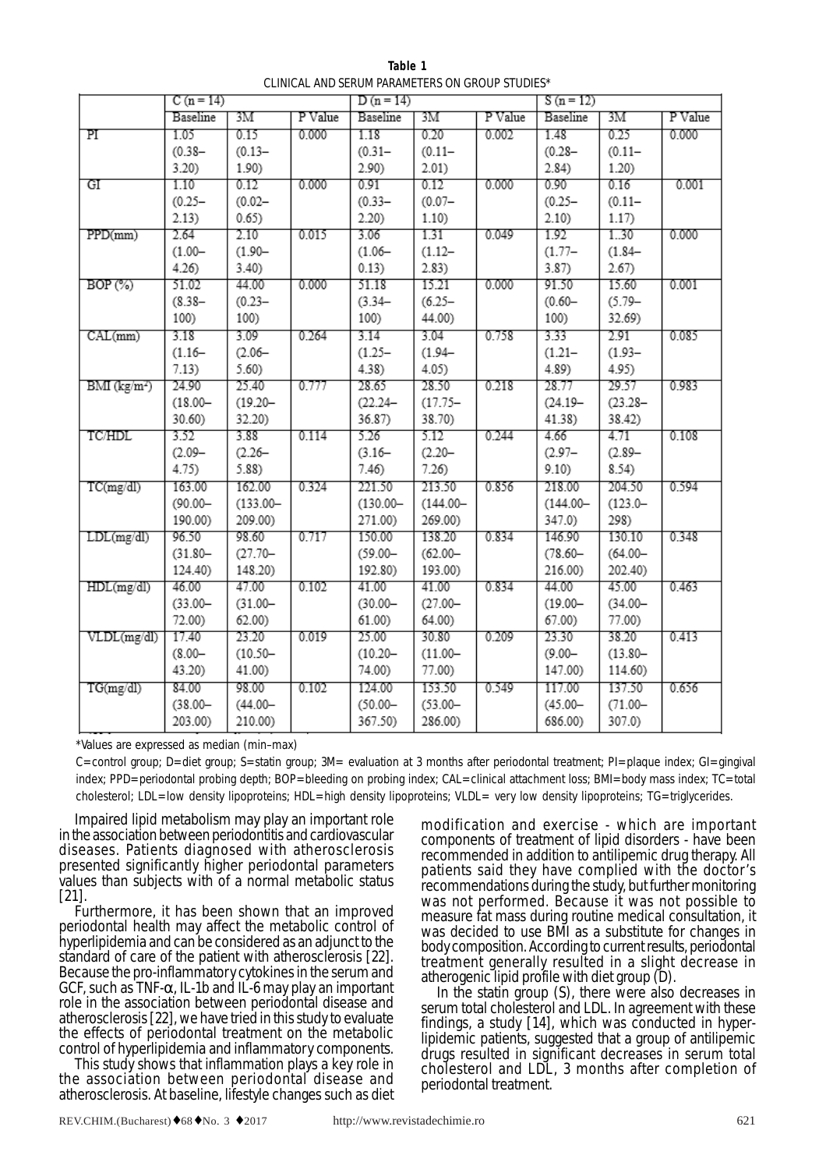**Table 1** CLINICAL AND SERUM PARAMETERS ON GROUP STUDIES\*

|                            | $C(n = 14)$ |             |         | $D(n=14)$   |             |         | $S(n = 12)$ |            |         |
|----------------------------|-------------|-------------|---------|-------------|-------------|---------|-------------|------------|---------|
|                            | Baseline    | 3M          | P Value | Baseline    | 3M          | P Value | Baseline    | 3М         | P Value |
| ΡI                         | 1.05        | 0.15        | 0.000   | 1.18        | 0.20        | 0.002   | 1.48        | 0.25       | 0.000   |
|                            | $(0.38 -$   | $(0.13 -$   |         | $(0.31 -$   | $(0.11 -$   |         | $(0.28 -$   | $(0.11 -$  |         |
|                            | 3.20        | 1.90)       |         | 2.90)       | 2.01)       |         | 2.84)       | 1.20)      |         |
| GI                         | 1.10        | 0.12        | 0.000   | 0.91        | 0.12        | 0.000   | 0.90        | 0.16       | 0.001   |
|                            | $(0.25 -$   | $(0.02 -$   |         | $(0.33 -$   | $(0.07 -$   |         | $(0.25 -$   | $(0.11 -$  |         |
|                            | 2.13)       | 0.65)       |         | $2.20$ )    | 1.10)       |         | 2.10)       | 1.17)      |         |
| PPD(mm)                    | 2.64        | 2.10        | 0.015   | 3.06        | 1.31        | 0.049   | 1.92        | 1.30       | 0.000   |
|                            | $(1.00 -$   | $(1.90 -$   |         | $(1.06 -$   | $(1.12 -$   |         | $(1.77 -$   | $(1.84 -$  |         |
|                            | 4.26        | $3.40$ )    |         | 0.13)       | 2.83)       |         | 3.87        | 2.67)      |         |
| BOP(%)                     | 51.02       | 44.00       | 0.000   | 51.18       | 15.21       | 0.000   | 91.50       | 15.60      | 0.001   |
|                            | $(8.38 -$   | $(0.23 -$   |         | $(3.34 -$   | $(6.25 -$   |         | $(0.60 -$   | $(5.79 -$  |         |
|                            | 100)        | 100)        |         | 100)        | 44.00)      |         | 100)        | 32.69)     |         |
| CAL(mm)                    | 3.18        | 3.09        | 0.264   | 3.14        | 3.04        | 0.758   | 3.33        | 2.91       | 0.085   |
|                            | $(1.16 -$   | $(2.06 -$   |         | $(1.25 -$   | $(1.94 -$   |         | $(1.21 -$   | $(1.93 -$  |         |
|                            | 7.13)       | 5.60)       |         | $4.38$ )    | 4.05)       |         | 4.89)       | 4.95)      |         |
| $BMI$ (kg/m <sup>2</sup> ) | 24.90       | 25.40       | 0.777   | 28.65       | 28.50       | 0.218   | 28.77       | 29.57      | 0.983   |
|                            | $(18.00 -$  | $(19.20 -$  |         | $(22.24 -$  | $(17.75 -$  |         | $(24.19 -$  | $(23.28 -$ |         |
|                            | 30.60)      | 32.20)      |         | 36.87)      | 38.70)      |         | 41.38)      | 38.42)     |         |
| <b>TC/HDL</b>              | 3.52        | 3.88        | 0.114   | 5.26        | 5.12        | 0.244   | 4.66        | 4.71       | 0.108   |
|                            | $(2.09 -$   | $(2.26 -$   |         | $(3.16 -$   | $(2.20 -$   |         | $(2.97 -$   | $(2.89 -$  |         |
|                            | 4.75)       | 5.88)       |         | 7.46        | 7.26        |         | 9.10)       | 8.54)      |         |
| TC(mg/dl)                  | 163.00      | 162.00      | 0.324   | 221.50      | 213.50      | 0.856   | 218.00      | 204.50     | 0.594   |
|                            | $(90.00 -$  | $(133.00 -$ |         | $(130.00 -$ | $(144.00 -$ |         | $(144.00 -$ | $(123.0 -$ |         |
|                            | 190.00)     | 209.00)     |         | 271.00)     | 269.00)     |         | 347.0)      | 298)       |         |
| LDL(mg/dl)                 | 96.50       | 98.60       | 0.717   | 150.00      | 138.20      | 0.834   | 146.90      | 130.10     | 0.348   |
|                            | $(31.80 -$  | $(27.70 -$  |         | $(59.00 -$  | $(62.00 -$  |         | $(78.60 -$  | $(64.00 -$ |         |
|                            | 124.40)     | 148.20)     |         | 192.80)     | 193.00)     |         | 216.00)     | 202.40)    |         |
| HDL(mg/dl)                 | 46.00       | 47.00       | 0.102   | 41.00       | 41.00       | 0.834   | 44.00       | 45.00      | 0.463   |
|                            | $(33.00 -$  | $(31.00 -$  |         | $(30.00 -$  | $(27.00 -$  |         | $(19.00 -$  | $(34.00 -$ |         |
|                            | 72.00)      | 62.00)      |         | 61.00)      | 64.00)      |         | 67.00)      | 77.00)     |         |
| VLDL(mg/dl)                | 17.40       | 23.20       | 0.019   | 25.00       | 30.80       | 0.209   | 23.30       | 38.20      | 0.413   |
|                            | $(8.00 -$   | $(10.50 -$  |         | $(10.20 -$  | $(11.00 -$  |         | $(9.00 -$   | $(13.80 -$ |         |
|                            | 43.20)      | 41.00)      |         | 74.00)      | 77.00)      |         | 147.00)     | 114.60)    |         |
| TG(mg/dl)                  | 84.00       | 98.00       | 0.102   | 124.00      | 153.50      | 0.549   | 117.00      | 137.50     | 0.656   |
|                            | $(38.00 -$  | $(44.00 -$  |         | $(50.00 -$  | $(53.00 -$  |         | $(45.00 -$  | $(71.00 -$ |         |
|                            | 203.00)     | 210.00)     |         | 367.50)     | 286.00)     |         | 686.00)     | 307.0)     |         |

\*Values are expressed as median (min–max)

C=control group; D=diet group; S=statin group; 3M= evaluation at 3 months after periodontal treatment; PI=plaque index; GI=gingival index; PPD=periodontal probing depth; BOP=bleeding on probing index; CAL=clinical attachment loss; BMI=body mass index; TC=total cholesterol; LDL=low density lipoproteins; HDL=high density lipoproteins; VLDL= very low density lipoproteins; TG=triglycerides.

Impaired lipid metabolism may play an important role in the association between periodontitis and cardiovascular diseases. Patients diagnosed with atherosclerosis presented significantly higher periodontal parameters values than subjects with of a normal metabolic status [21].

Furthermore, it has been shown that an improved periodontal health may affect the metabolic control of hyperlipidemia and can be considered as an adjunct to the standard of care of the patient with atherosclerosis [22]. Because the pro-inflammatory cytokines in the serum and GCF, such as TNF- $\alpha$ , IL-1b and IL-6 may play an important role in the association between periodontal disease and atherosclerosis [22], we have tried in this study to evaluate the effects of periodontal treatment on the metabolic

control of hyperlipidemia and inflammatory components. the association between periodontal disease and atherosclerosis. At baseline, lifestyle changes such as diet

modification and exercise - which are important components of treatment of lipid disorders - have been recommended in addition to antilipemic drug therapy. All patients said they have complied with the doctor's recommendations during the study, but further monitoring was not performed. Because it was not possible to measure fat mass during routine medical consultation, it was decided to use BMI as a substitute for changes in body composition. According to current results, periodontal treatment generally resulted in a slight decrease in atherogenic lipid profile with diet group (D).

In the statin group (S), there were also decreases in serum total cholesterol and LDL. In agreement with these findings, a study [14], which was conducted in hyperlipidemic patients, suggested that a group of antilipemic drugs resulted in significant decreases in serum total cholesterol and LDL, 3 months after completion of periodontal treatment.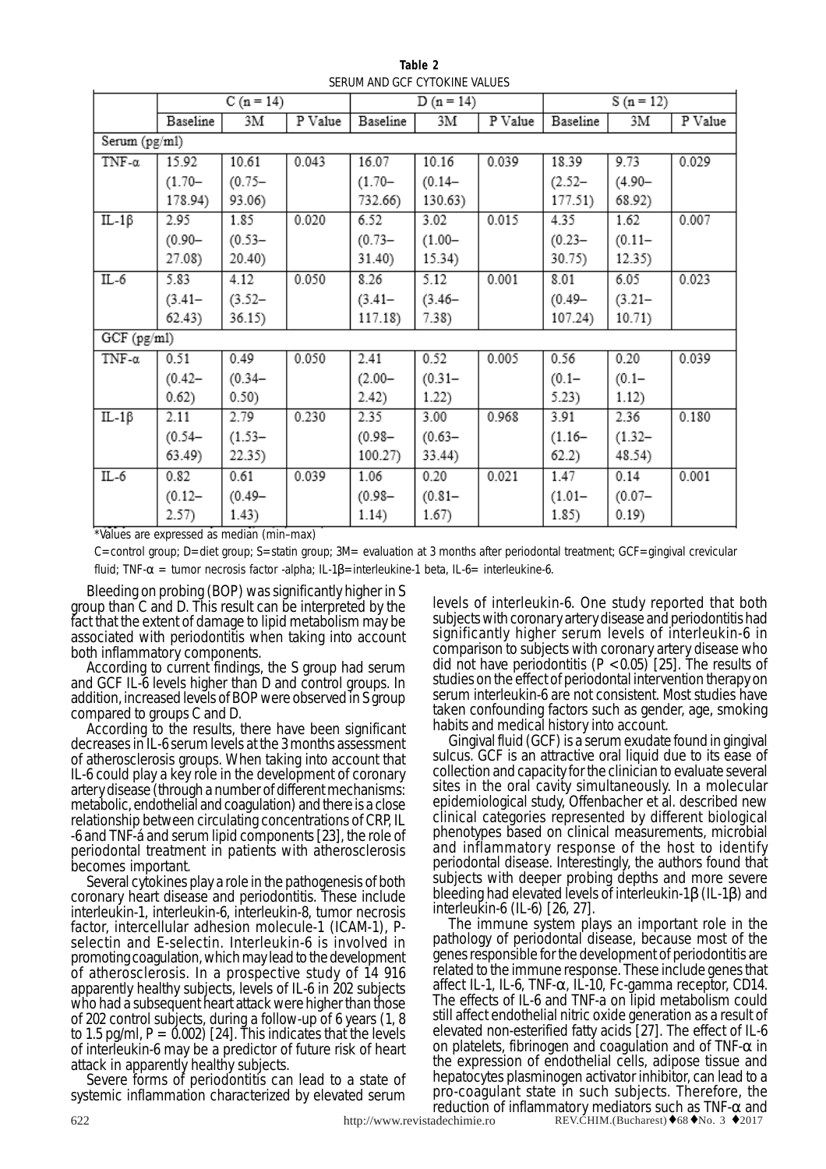|               | $C(n = 14)$ |           |         |           | $D(n = 14)$ |         | $S(n = 12)$ |           |         |  |
|---------------|-------------|-----------|---------|-----------|-------------|---------|-------------|-----------|---------|--|
|               | Baseline    | 3М        | P Value | Baseline  | 3М          | P Value | Baseline    | 3М        | P Value |  |
| Serum (pg/ml) |             |           |         |           |             |         |             |           |         |  |
| TNF- $\alpha$ | 15.92       | 10.61     | 0.043   | 16.07     | 10.16       | 0.039   | 18.39       | 9.73      | 0.029   |  |
|               | $(1.70 -$   | $(0.75 -$ |         | $(1.70 -$ | $(0.14 -$   |         | $(2.52 -$   | $(4.90 -$ |         |  |
|               | 178.94)     | 93.06)    |         | 732.66)   | 130.63)     |         | 177.51)     | 68.92)    |         |  |
| $IL-1\beta$   | 2.95        | 1.85      | 0.020   | 6.52      | 3.02        | 0.015   | 4.35        | 1.62      | 0.007   |  |
|               | $(0.90 -$   | $(0.53 -$ |         | $(0.73 -$ | $(1.00 -$   |         | $(0.23 -$   | $(0.11 -$ |         |  |
|               | 27.08)      | 20.40)    |         | 31.40)    | 15.34)      |         | 30.75)      | 12.35)    |         |  |
| $IL-6$        | 5.83        | 4.12      | 0.050   | 8.26      | 5.12        | 0.001   | 8.01        | 6.05      | 0.023   |  |
|               | $(3.41 -$   | $(3.52 -$ |         | $(3.41 -$ | $(3.46 -$   |         | $(0.49 -$   | $(3.21 -$ |         |  |
|               | 62.43)      | 36.15)    |         | 117.18)   | 7.38)       |         | 107.24)     | 10.71)    |         |  |
| GCF (pg/ml)   |             |           |         |           |             |         |             |           |         |  |
| TNF- $\alpha$ | 0.51        | 0.49      | 0.050   | 2.41      | 0.52        | 0.005   | 0.56        | 0.20      | 0.039   |  |
|               | $(0.42 -$   | $(0.34 -$ |         | $(2.00 -$ | $(0.31 -$   |         | $(0.1 -$    | $(0.1 -$  |         |  |
|               | 0.62)       | 0.50)     |         | 2.42)     | 1.22)       |         | 5.23)       | 1.12)     |         |  |
| $IL-1\beta$   | 2.11        | 2.79      | 0.230   | 2.35      | 3.00        | 0.968   | 3.91        | 2.36      | 0.180   |  |
|               | $(0.54 -$   | $(1.53 -$ |         | $(0.98 -$ | $(0.63 -$   |         | $(1.16 -$   | $(1.32 -$ |         |  |
|               | 63.49)      | 22.35)    |         | 100.27)   | 33.44)      |         | 62.2)       | 48.54)    |         |  |
| $IL-6$        | 0.82        | 0.61      | 0.039   | 1.06      | 0.20        | 0.021   | 1.47        | 0.14      | 0.001   |  |
|               | $(0.12 -$   | $(0.49 -$ |         | $(0.98 -$ | $(0.81 -$   |         | $(1.01 -$   | $(0.07 -$ |         |  |
|               | 2.57)       | 1.43)     |         | 1.14)     | 1.67)       |         | 1.85)       | 0.19      |         |  |

**Table 2** SERUM AND GCF CYTOKINE VALUES

\*Values are expressed as median (min–max)

C=control group; D=diet group; S=statin group; 3M= evaluation at 3 months after periodontal treatment; GCF=gingival crevicular fluid; TNF- $\alpha$  = tumor necrosis factor -alpha; IL-1 $\beta$ =interleukine-1 beta, IL-6= interleukine-6.

Bleeding on probing (BOP) was significantly higher in S group than C and D. This result can be interpreted by the fact that the extent of damage to lipid metabolism may be associated with periodontitis when taking into account

both inflammatory components.<br>According to current findings, the S group had serum and GCF IL-6 levels higher than D and control groups. In addition, increased levels of BOP were observed in S group compared to groups C and D.

According to the results, there have been significant decreases in IL-6 serum levels at the 3 months assessment of atherosclerosis groups. When taking into account that IL-6 could play a key role in the development of coronary artery disease (through a number of different mechanisms: metabolic, endothelial and coagulation) and there is a close relationship between circulating concentrations of CRP, IL -6 and TNF-á and serum lipid components [23], the role of periodontal treatment in patients with atherosclerosis

becomes important.<br>Several cytokines play a role in the pathogenesis of both coronary heart disease and periodontitis. These include interleukin-1, interleukin-6, interleukin-8, tumor necrosis factor, intercellular adhesion molecule-1 (ICAM-1), Pselectin and E-selectin. Interleukin-6 is involved in promoting coagulation, which may lead to the development of atherosclerosis. In a prospective study of 14 916 apparently healthy subjects, levels of IL-6 in 202 subjects who had a subsequent heart attack were higher than those of 202 control subjects, during a follow-up of 6 years (1, 8 to 1.5 pg/ml,  $P = 0.002$  [24]. This indicates that the levels of interleukin-6 may be a predictor of future risk of heart

Severe forms of periodontitis can lead to a state of systemic inflammation characterized by elevated serum levels of interleukin-6. One study reported that both subjects with coronary artery disease and periodontitis had significantly higher serum levels of interleukin-6 in comparison to subjects with coronary artery disease who did not have periodontitis  $(P < 0.05)$  [25]. The results of studies on the effect of periodontal intervention therapy on serum interleukin-6 are not consistent. Most studies have taken confounding factors such as gender, age, smoking

habits and medical history into account.<br>Gingival fluid (GCF) is a serum exudate found in gingival sulcus. GCF is an attractive oral liquid due to its ease of collection and capacity for the clinician to evaluate several sites in the oral cavity simultaneously. In a molecular epidemiological study, Offenbacher et al. described new clinical categories represented by different biological phenotypes based on clinical measurements, microbial and inflammatory response of the host to identify periodontal disease. Interestingly, the authors found that subjects with deeper probing depths and more severe bleeding had elevated levels of interleukin-1β (IL-1β) and

interleukin-6 (IL-6) [26, 27].<br>The immune system plays an important role in the pathology of periodontal disease, because most of the genes responsible for the development of periodontitis are related to the immune response. These include genes that affect IL-1, IL-6, TNF- $\alpha$ , IL-10, Fc-gamma receptor, CD14. The effects of IL-6 and TNF-a on lipid metabolism could still affect endothelial nitric oxide generation as a result of elevated non-esterified fatty acids [27]. The effect of IL-6 on platelets, fibrinogen and coagulation and of TNF- $\alpha$  in the expression of endothelial cells, adipose tissue and hepatocytes plasminogen activator inhibitor, can lead to a pro-coagulant state in such subjects. Therefore, the reduction of inflammatory mediators such as TNF- $\alpha$  and